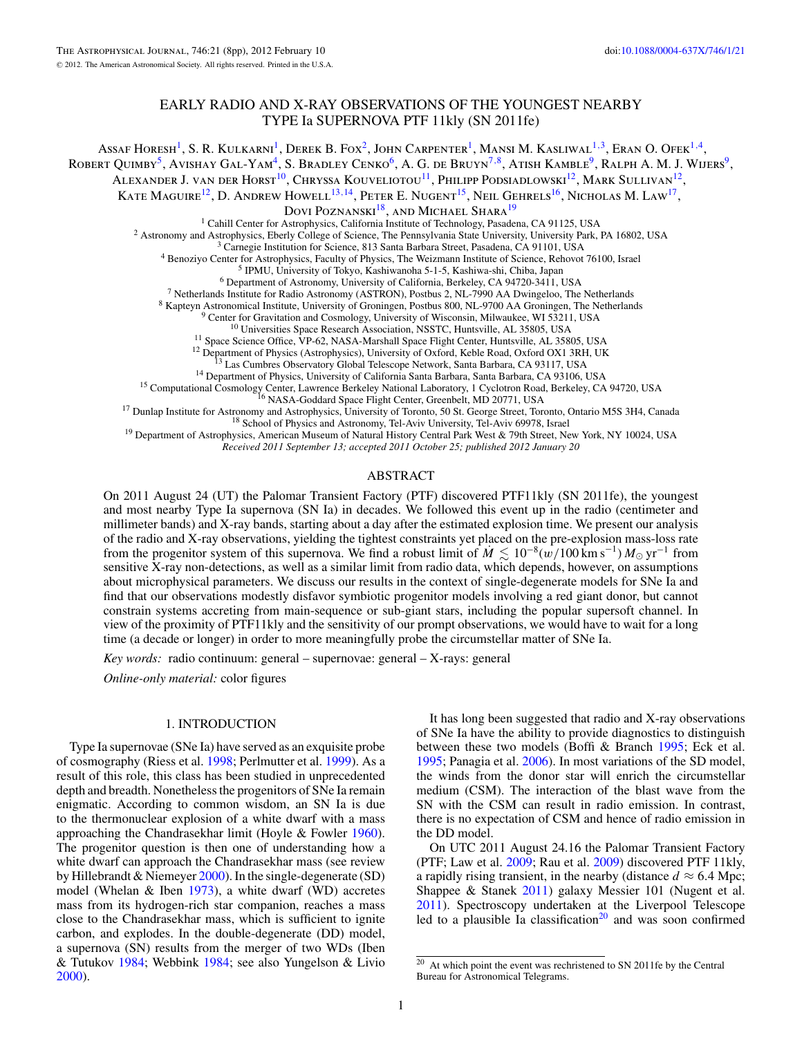# EARLY RADIO AND X-RAY OBSERVATIONS OF THE YOUNGEST NEARBY TYPE Ia SUPERNOVA PTF 11kly (SN 2011fe)

<span id="page-0-0"></span>Assaf Horesh1, S. R. Kulkarni1, Derek B. Fox2, John Carpenter1, Mansi M. Kasliwal1*,*3, Eran O. Ofek1*,*4,

ROBERT QUIMBY<sup>5</sup>, AVISHAY GAL-YAM<sup>4</sup>, S. BRADLEY CENKO<sup>6</sup>, A. G. de Bruyn<sup>7,8</sup>, Atish Kamble<sup>9</sup>, Ralph A. M. J. Wijers<sup>9</sup>,

ALEXANDER J. VAN DER HORST<sup>10</sup>, CHRYSSA KOUVELIOTOU<sup>11</sup>, PHILIPP PODSIADLOWSKI<sup>12</sup>, MARK SULLIVAN<sup>12</sup>,

KATE MAGUIRE<sup>12</sup>, D. ANDREW HOWELL<sup>13,14</sup>, PETER E. NUGENT<sup>15</sup>, NEIL GEHRELS<sup>16</sup>, NICHOLAS M. LAW<sup>17</sup>,

**DOVI POZNANSKI**<sup>18</sup>, AND MICHAEL SHARA<sup>19</sup><br><sup>1</sup> Cahill Center for Astrophysics, California Institute of Technology, Pasadena, CA 91125, USA

2 Astronomy and Astrophysics, Eberly College of Science, The Pennsylvania State University, University Park, PA 16802, USA<br>
<sup>2</sup> Camergie Institution for Science, 813 Santa Barbara Street, Pasadena, CA 91101, USA<br>
<sup>4</sup> Beno

*Received 2011 September 13; accepted 2011 October 25; published 2012 January 20*

## ABSTRACT

On 2011 August 24 (UT) the Palomar Transient Factory (PTF) discovered PTF11kly (SN 2011fe), the youngest and most nearby Type Ia supernova (SN Ia) in decades. We followed this event up in the radio (centimeter and millimeter bands) and X-ray bands, starting about a day after the estimated explosion time. We present our analysis of the radio and X-ray observations, yielding the tightest constraints yet placed on the pre-explosion mass-loss rate from the progenitor system of this supernova. We find a robust limit of  $M \lesssim 10^{-8} (w/100 \text{ km s}^{-1}) M_{\odot} \text{ yr}^{-1}$  from sensitive X-ray non-detections, as well as a similar limit from radio data, which depends, however, on assumptions about microphysical parameters. We discuss our results in the context of single-degenerate models for SNe Ia and find that our observations modestly disfavor symbiotic progenitor models involving a red giant donor, but cannot constrain systems accreting from main-sequence or sub-giant stars, including the popular supersoft channel. In view of the proximity of PTF11kly and the sensitivity of our prompt observations, we would have to wait for a long time (a decade or longer) in order to more meaningfully probe the circumstellar matter of SNe Ia.

*Key words:* radio continuum: general – supernovae: general – X-rays: general

*Online-only material:* color figures

#### 1. INTRODUCTION

Type Ia supernovae (SNe Ia) have served as an exquisite probe of cosmography (Riess et al. [1998;](#page-7-0) Perlmutter et al. [1999\)](#page-7-0). As a result of this role, this class has been studied in unprecedented depth and breadth. Nonetheless the progenitors of SNe Ia remain enigmatic. According to common wisdom, an SN Ia is due to the thermonuclear explosion of a white dwarf with a mass approaching the Chandrasekhar limit (Hoyle & Fowler [1960\)](#page-7-0). The progenitor question is then one of understanding how a white dwarf can approach the Chandrasekhar mass (see review by Hillebrandt & Niemeyer [2000\)](#page-7-0). In the single-degenerate (SD) model (Whelan  $&$  Iben [1973\)](#page-7-0), a white dwarf (WD) accretes mass from its hydrogen-rich star companion, reaches a mass close to the Chandrasekhar mass, which is sufficient to ignite carbon, and explodes. In the double-degenerate (DD) model, a supernova (SN) results from the merger of two WDs (Iben & Tutukov [1984;](#page-7-0) Webbink [1984;](#page-7-0) see also Yungelson & Livio [2000\)](#page-7-0).

It has long been suggested that radio and X-ray observations of SNe Ia have the ability to provide diagnostics to distinguish between these two models (Boffi & Branch [1995;](#page-6-0) Eck et al. [1995;](#page-7-0) Panagia et al. [2006\)](#page-7-0). In most variations of the SD model, the winds from the donor star will enrich the circumstellar medium (CSM). The interaction of the blast wave from the SN with the CSM can result in radio emission. In contrast, there is no expectation of CSM and hence of radio emission in the DD model.

On UTC 2011 August 24.16 the Palomar Transient Factory (PTF; Law et al. [2009;](#page-7-0) Rau et al. [2009\)](#page-7-0) discovered PTF 11kly, a rapidly rising transient, in the nearby (distance  $d \approx 6.4$  Mpc; Shappee & Stanek [2011\)](#page-7-0) galaxy Messier 101 (Nugent et al. [2011\)](#page-7-0). Spectroscopy undertaken at the Liverpool Telescope led to a plausible Ia classification<sup>20</sup> and was soon confirmed

<sup>20</sup> At which point the event was rechristened to SN 2011fe by the Central Bureau for Astronomical Telegrams.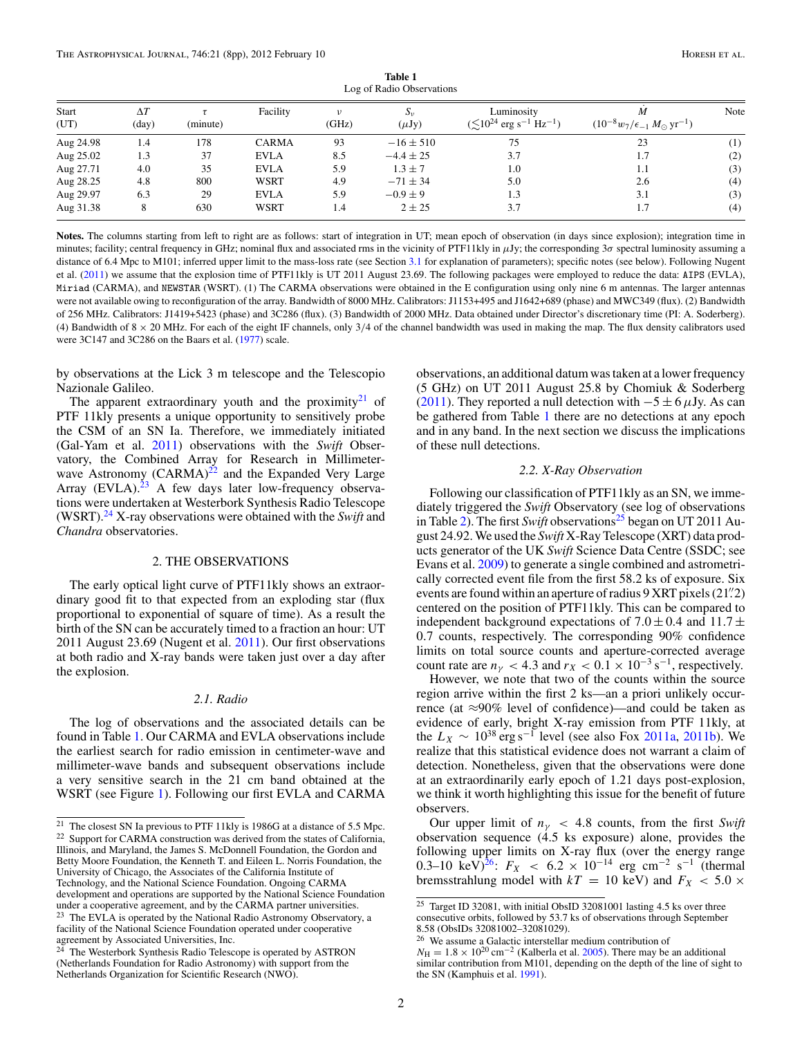<span id="page-1-0"></span>

| Log of Radio Observations |                     |          |              |                     |                         |                                                                       |                                                                 |      |  |  |  |  |
|---------------------------|---------------------|----------|--------------|---------------------|-------------------------|-----------------------------------------------------------------------|-----------------------------------------------------------------|------|--|--|--|--|
| Start<br>(UT)             | $\Delta T$<br>(day) | (minute) | Facility     | $\upsilon$<br>(GHz) | $S_{\nu}$<br>$(\mu Jy)$ | Luminosity<br>$(\lesssim 10^{24} \text{ erg s}^{-1} \text{ Hz}^{-1})$ | M<br>$(10^{-8} w_7/\epsilon_{-1} M_{\odot} \,\mathrm{yr}^{-1})$ | Note |  |  |  |  |
| Aug 24.98                 | 1.4                 | 178      | <b>CARMA</b> | 93                  | $-16 \pm 510$           | 75                                                                    | 23                                                              | (1)  |  |  |  |  |
| Aug 25.02                 | 1.3                 | 37       | <b>EVLA</b>  | 8.5                 | $-4.4 \pm 25$           | 3.7                                                                   | 1.7                                                             | (2)  |  |  |  |  |
| Aug 27.71                 | 4.0                 | 35       | <b>EVLA</b>  | 5.9                 | $1.3 \pm 7$             | 1.0                                                                   | 1.1                                                             | (3)  |  |  |  |  |
| Aug 28.25                 | 4.8                 | 800      | WSRT         | 4.9                 | $-71 \pm 34$            | 5.0                                                                   | 2.6                                                             | (4)  |  |  |  |  |
| Aug 29.97                 | 6.3                 | 29       | <b>EVLA</b>  | 5.9                 | $-0.9 \pm 9$            | 1.3                                                                   | 3.1                                                             | (3)  |  |  |  |  |
| Aug 31.38                 | 8                   | 630      | <b>WSRT</b>  | 1.4                 | $2 \pm 25$              | 3.7                                                                   | 1.7                                                             | (4)  |  |  |  |  |

**Table 1** Log of Radio Observations

**Notes.** The columns starting from left to right are as follows: start of integration in UT; mean epoch of observation (in days since explosion); integration time in minutes; facility; central frequency in GHz; nominal flux and associated rms in the vicinity of PTF11kly in μJy; the corresponding 3*σ* spectral luminosity assuming a distance of 6.4 Mpc to M101; inferred upper limit to the mass-loss rate (see Section [3.1](#page-3-0) for explanation of parameters); specific notes (see below). Following Nugent et al. [\(2011\)](#page-7-0) we assume that the explosion time of PTF11kly is UT 2011 August 23.69. The following packages were employed to reduce the data: AIPS (EVLA), Miriad (CARMA), and NEWSTAR (WSRT). (1) The CARMA observations were obtained in the E configuration using only nine 6 m antennas. The larger antennas were not available owing to reconfiguration of the array. Bandwidth of 8000 MHz. Calibrators: J1153+495 and J1642+689 (phase) and MWC349 (flux). (2) Bandwidth of 256 MHz. Calibrators: J1419+5423 (phase) and 3C286 (flux). (3) Bandwidth of 2000 MHz. Data obtained under Director's discretionary time (PI: A. Soderberg). (4) Bandwidth of  $8 \times 20$  MHz. For each of the eight IF channels, only  $3/4$  of the channel bandwidth was used in making the map. The flux density calibrators used were 3C147 and 3C286 on the Baars et al. [\(1977\)](#page-6-0) scale.

by observations at the Lick 3 m telescope and the Telescopio Nazionale Galileo.

The apparent extraordinary youth and the proximity $21$  of PTF 11kly presents a unique opportunity to sensitively probe the CSM of an SN Ia. Therefore, we immediately initiated (Gal-Yam et al. [2011\)](#page-7-0) observations with the *Swift* Observatory, the Combined Array for Research in Millimeterwave Astronomy  $(CARMA)^{22}$  and the Expanded Very Large Array  $(EVAL)$ .<sup>23</sup> A few days later low-frequency observations were undertaken at Westerbork Synthesis Radio Telescope (WSRT).<sup>24</sup> X-ray observations were obtained with the *Swift* and *Chandra* observatories.

## 2. THE OBSERVATIONS

The early optical light curve of PTF11kly shows an extraordinary good fit to that expected from an exploding star (flux proportional to exponential of square of time). As a result the birth of the SN can be accurately timed to a fraction an hour: UT 2011 August 23.69 (Nugent et al. [2011\)](#page-7-0). Our first observations at both radio and X-ray bands were taken just over a day after the explosion.

## *2.1. Radio*

The log of observations and the associated details can be found in Table 1. Our CARMA and EVLA observations include the earliest search for radio emission in centimeter-wave and millimeter-wave bands and subsequent observations include a very sensitive search in the 21 cm band obtained at the WSRT (see Figure [1\)](#page-2-0). Following our first EVLA and CARMA observations, an additional datum was taken at a lower frequency (5 GHz) on UT 2011 August 25.8 by Chomiuk & Soderberg [\(2011\)](#page-7-0). They reported a null detection with  $-5 \pm 6 \mu$ Jy. As can be gathered from Table 1 there are no detections at any epoch and in any band. In the next section we discuss the implications of these null detections.

#### *2.2. X-Ray Observation*

Following our classification of PTF11kly as an SN, we immediately triggered the *Swift* Observatory (see log of observations in Table [2\)](#page-2-0). The first *Swift* observations<sup>25</sup> began on UT 2011 August 24.92. We used the *Swift* X-Ray Telescope (XRT) data products generator of the UK *Swift* Science Data Centre (SSDC; see Evans et al. [2009\)](#page-7-0) to generate a single combined and astrometrically corrected event file from the first 58.2 ks of exposure. Six events are found within an aperture of radius 9 XRT pixels (21*.* 2) centered on the position of PTF11kly. This can be compared to independent background expectations of  $7.0 \pm 0.4$  and  $11.7 \pm$ 0*.*7 counts, respectively. The corresponding 90% confidence limits on total source counts and aperture-corrected average count rate are  $n<sub>\gamma</sub>$  < 4.3 and  $r<sub>X</sub>$  < 0.1 × 10<sup>-3</sup> s<sup>-1</sup>, respectively.

However, we note that two of the counts within the source region arrive within the first 2 ks—an a priori unlikely occurrence (at  $\approx$ 90% level of confidence)—and could be taken as evidence of early, bright X-ray emission from PTF 11kly, at the  $L_X \sim 10^{38} \text{ erg s}^{-1}$  level (see also Fox [2011a,](#page-7-0) [2011b\)](#page-7-0). We realize that this statistical evidence does not warrant a claim of detection. Nonetheless, given that the observations were done at an extraordinarily early epoch of 1.21 days post-explosion, we think it worth highlighting this issue for the benefit of future observers.

Our upper limit of  $n<sub>y</sub>$  < 4.8 counts, from the first *Swift* observation sequence (4.5 ks exposure) alone, provides the following upper limits on X-ray flux (over the energy range 0.3–10 keV)<sup>26</sup>:  $F_X < 6.2 \times 10^{-14}$  erg cm<sup>-2</sup> s<sup>-1</sup> (thermal bremsstrahlung model with  $kT = 10 \text{ keV}$  and  $F_X < 5.0 \times$ 

<sup>21</sup> The closest SN Ia previous to PTF 11kly is 1986G at a distance of 5.5 Mpc. <sup>22</sup> Support for CARMA construction was derived from the states of California, Illinois, and Maryland, the James S. McDonnell Foundation, the Gordon and Betty Moore Foundation, the Kenneth T. and Eileen L. Norris Foundation, the University of Chicago, the Associates of the California Institute of Technology, and the National Science Foundation. Ongoing CARMA development and operations are supported by the National Science Foundation under a cooperative agreement, and by the CARMA partner universities.

<sup>&</sup>lt;sup>23</sup> The EVLA is operated by the National Radio Astronomy Observatory, a facility of the National Science Foundation operated under cooperative agreement by Associated Universities, Inc.

<sup>&</sup>lt;sup>24</sup> The Westerbork Synthesis Radio Telescope is operated by ASTRON (Netherlands Foundation for Radio Astronomy) with support from the Netherlands Organization for Scientific Research (NWO).

<sup>25</sup> Target ID 32081, with initial ObsID 32081001 lasting 4.5 ks over three consecutive orbits, followed by 53.7 ks of observations through September 8.58 (ObsIDs 32081002–32081029).

<sup>26</sup> We assume a Galactic interstellar medium contribution of

 $N_{\rm H} = 1.8 \times 10^{20} \rm \, cm^{-2}$  (Kalberla et al. [2005\)](#page-7-0). There may be an additional similar contribution from M101, depending on the depth of the line of sight to the SN (Kamphuis et al. [1991\)](#page-7-0).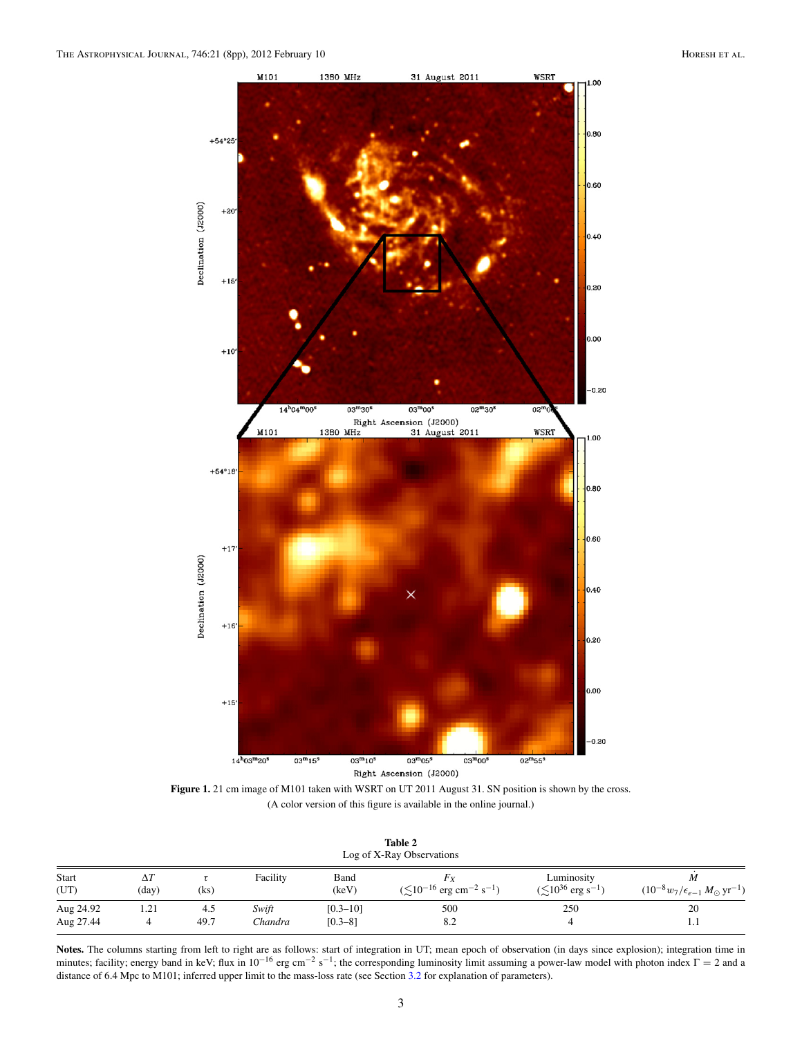<span id="page-2-0"></span>

Figure 1. 21 cm image of M101 taken with WSRT on UT 2011 August 31. SN position is shown by the cross. (A color version of this figure is available in the online journal.)

| Table 2                   |
|---------------------------|
| Log of X-Ray Observations |

| . .           |                     |      |          |               |                                                                |                                                       |                                                             |  |  |  |
|---------------|---------------------|------|----------|---------------|----------------------------------------------------------------|-------------------------------------------------------|-------------------------------------------------------------|--|--|--|
| Start<br>(UT) | $\Delta I$<br>(day) | (ks) | Facility | Band<br>(keV) | Fγ<br>$(\lesssim 10^{-16} \text{ erg cm}^{-2} \text{ s}^{-1})$ | Luminosity<br>$(\lesssim 10^{36} \text{ erg s}^{-1})$ | $(10^{-8} w_7/\epsilon_{e-1} M_{\odot} \,\mathrm{yr}^{-1})$ |  |  |  |
| Aug 24.92     | 1.21                | 4.5  | Swift    | $[0.3 - 10]$  | 500                                                            | 250                                                   | 20                                                          |  |  |  |
| Aug 27.44     |                     | 49.7 | Chandra  | $[0.3 - 8]$   | 8.2                                                            |                                                       | $\cdots$                                                    |  |  |  |

Notes. The columns starting from left to right are as follows: start of integration in UT; mean epoch of observation (in days since explosion); integration time in minutes; facility; energy band in keV; flux in  $10^{-16}$  erg cm<sup>-2</sup> s<sup>-1</sup>; the corresponding luminosity limit assuming a power-law model with photon index  $\Gamma = 2$  and a distance of 6.4 Mpc to M101; inferred upper limit to the mass-loss rate (see Section [3.2](#page-4-0) for explanation of parameters).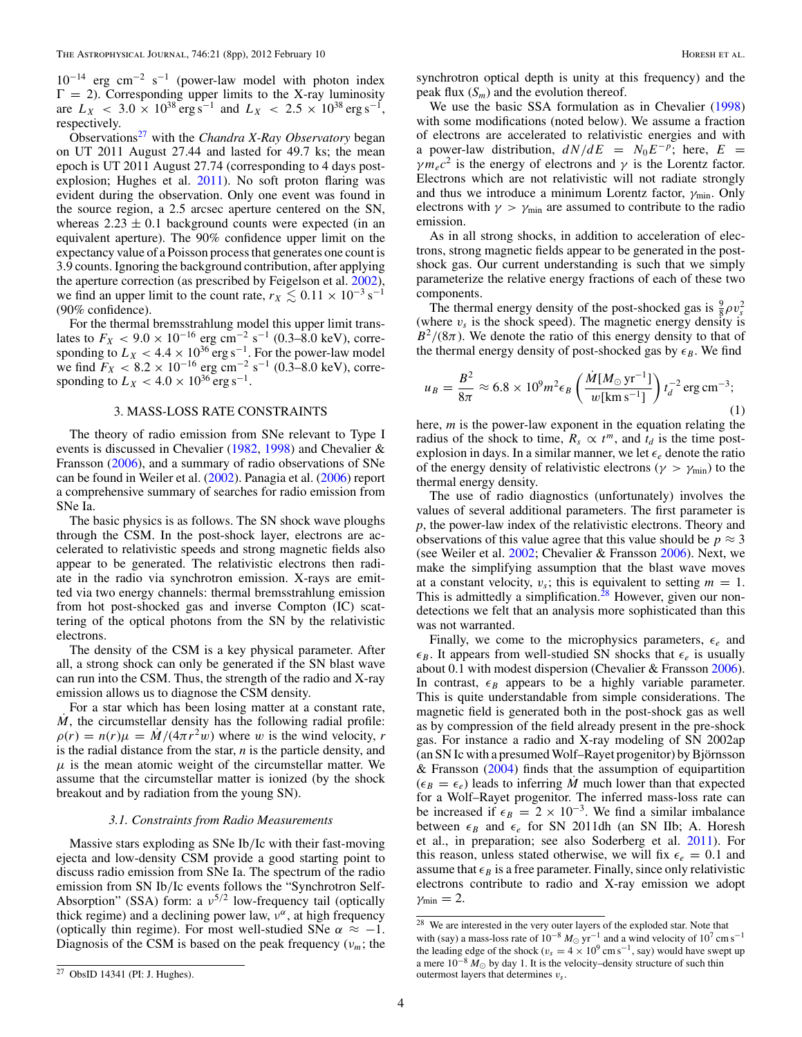<span id="page-3-0"></span> $10^{-14}$  erg cm<sup>-2</sup> s<sup>-1</sup> (power-law model with photon index  $\Gamma = 2$ ). Corresponding upper limits to the X-ray luminosity are  $L_X$  < 3.0 × 10<sup>38</sup> erg s<sup>-1</sup> and  $L_X$  < 2.5 × 10<sup>38</sup> erg s<sup>-1</sup>, respectively.

Observations<sup>27</sup> with the *Chandra X-Ray Observatory* began on UT 2011 August 27.44 and lasted for 49.7 ks; the mean epoch is UT 2011 August 27.74 (corresponding to 4 days postexplosion; Hughes et al. [2011\)](#page-7-0). No soft proton flaring was evident during the observation. Only one event was found in the source region, a 2.5 arcsec aperture centered on the SN, whereas  $2.23 \pm 0.1$  background counts were expected (in an equivalent aperture). The 90% confidence upper limit on the expectancy value of a Poisson process that generates one count is 3.9 counts. Ignoring the background contribution, after applying the aperture correction (as prescribed by Feigelson et al. [2002\)](#page-7-0), we find an upper limit to the count rate,  $r_X \lesssim 0.11 \times 10^{-3}$  s<sup>-1</sup> (90% confidence).

For the thermal bremsstrahlung model this upper limit translates to  $F_X < 9.0 \times 10^{-16}$  erg cm<sup>-2</sup> s<sup>-1</sup> (0.3–8.0 keV), corresponding to  $L_X < 4.4 \times 10^{36}$  erg s<sup>-1</sup>. For the power-law model we find  $F_X < 8.2 \times 10^{-16}$  erg cm<sup>-2</sup> s<sup>-1</sup> (0.3–8.0 keV), corresponding to  $L_X < 4.0 \times 10^{36}$  erg s<sup>-1</sup>.

#### 3. MASS-LOSS RATE CONSTRAINTS

The theory of radio emission from SNe relevant to Type I events is discussed in Chevalier [\(1982,](#page-6-0) [1998\)](#page-6-0) and Chevalier & Fransson [\(2006\)](#page-7-0), and a summary of radio observations of SNe can be found in Weiler et al. [\(2002\)](#page-7-0). Panagia et al. [\(2006\)](#page-7-0) report a comprehensive summary of searches for radio emission from SNe Ia.

The basic physics is as follows. The SN shock wave ploughs through the CSM. In the post-shock layer, electrons are accelerated to relativistic speeds and strong magnetic fields also appear to be generated. The relativistic electrons then radiate in the radio via synchrotron emission. X-rays are emitted via two energy channels: thermal bremsstrahlung emission from hot post-shocked gas and inverse Compton (IC) scattering of the optical photons from the SN by the relativistic electrons.

The density of the CSM is a key physical parameter. After all, a strong shock can only be generated if the SN blast wave can run into the CSM. Thus, the strength of the radio and X-ray emission allows us to diagnose the CSM density.

For a star which has been losing matter at a constant rate, *M*, the circumstellar density has the following radial profile:  $\rho(r) = n(r)\mu = M/(4\pi r^2 w)$  where *w* is the wind velocity, *r* is the radial distance from the star, *n* is the particle density, and  $\mu$  is the mean atomic weight of the circumstellar matter. We assume that the circumstellar matter is ionized (by the shock breakout and by radiation from the young SN).

#### *3.1. Constraints from Radio Measurements*

Massive stars exploding as SNe Ib*/*Ic with their fast-moving ejecta and low-density CSM provide a good starting point to discuss radio emission from SNe Ia. The spectrum of the radio emission from SN Ib*/*Ic events follows the "Synchrotron Self-Absorption" (SSA) form: a *ν*<sup>5/2</sup> low-frequency tail (optically thick regime) and a declining power law,  $v^{\alpha}$ , at high frequency (optically thin regime). For most well-studied SNe  $\alpha \approx -1$ . Diagnosis of the CSM is based on the peak frequency  $(v_m;$  the

synchrotron optical depth is unity at this frequency) and the peak flux  $(S_m)$  and the evolution thereof.

We use the basic SSA formulation as in Chevalier [\(1998\)](#page-6-0) with some modifications (noted below). We assume a fraction of electrons are accelerated to relativistic energies and with a power-law distribution,  $dN/dE = N_0E^{-p}$ ; here,  $E =$  $\gamma m_e c^2$  is the energy of electrons and  $\gamma$  is the Lorentz factor. Electrons which are not relativistic will not radiate strongly and thus we introduce a minimum Lorentz factor, *γ*min. Only electrons with  $\gamma > \gamma_{\text{min}}$  are assumed to contribute to the radio emission.

As in all strong shocks, in addition to acceleration of electrons, strong magnetic fields appear to be generated in the postshock gas. Our current understanding is such that we simply parameterize the relative energy fractions of each of these two components.

The thermal energy density of the post-shocked gas is  $\frac{9}{8}\rho v_s^2$ (where  $v_s$  is the shock speed). The magnetic energy density is  $B^2/(8\pi)$ . We denote the ratio of this energy density to that of the thermal energy density of post-shocked gas by  $\epsilon_B$ . We find

$$
u_B = \frac{B^2}{8\pi} \approx 6.8 \times 10^9 m^2 \epsilon_B \left(\frac{\dot{M} [M_\odot \text{ yr}^{-1}]}{w [\text{km s}^{-1}]} \right) t_d^{-2} \text{ erg cm}^{-3};\tag{1}
$$

here, *m* is the power-law exponent in the equation relating the radius of the shock to time,  $R_s \propto t^m$ , and  $t_d$  is the time postexplosion in days. In a similar manner, we let  $\epsilon_e$  denote the ratio of the energy density of relativistic electrons ( $\gamma > \gamma_{\text{min}}$ ) to the thermal energy density.

The use of radio diagnostics (unfortunately) involves the values of several additional parameters. The first parameter is *p*, the power-law index of the relativistic electrons. Theory and observations of this value agree that this value should be  $p \approx 3$ (see Weiler et al. [2002;](#page-7-0) Chevalier & Fransson [2006\)](#page-7-0). Next, we make the simplifying assumption that the blast wave moves at a constant velocity,  $v_s$ ; this is equivalent to setting  $m = 1$ . This is admittedly a simplification.<sup>28</sup> However, given our nondetections we felt that an analysis more sophisticated than this was not warranted.

Finally, we come to the microphysics parameters,  $\epsilon_e$  and  $\epsilon_B$ . It appears from well-studied SN shocks that  $\epsilon_e$  is usually about 0.1 with modest dispersion (Chevalier & Fransson [2006\)](#page-7-0). In contrast,  $\epsilon_B$  appears to be a highly variable parameter. This is quite understandable from simple considerations. The magnetic field is generated both in the post-shock gas as well as by compression of the field already present in the pre-shock gas. For instance a radio and X-ray modeling of SN 2002ap (an SN Ic with a presumed Wolf–Rayet progenitor) by Björnsson & Fransson  $(2004)$  finds that the assumption of equipartition  $(\epsilon_B = \epsilon_e)$  leads to inferring M much lower than that expected for a Wolf–Rayet progenitor. The inferred mass-loss rate can be increased if  $\epsilon_B = 2 \times 10^{-3}$ . We find a similar imbalance between  $\epsilon_B$  and  $\epsilon_e$  for SN 2011dh (an SN IIb; A. Horesh et al., in preparation; see also Soderberg et al. [2011\)](#page-7-0). For this reason, unless stated otherwise, we will fix  $\epsilon_e = 0.1$  and assume that  $\epsilon_B$  is a free parameter. Finally, since only relativistic electrons contribute to radio and X-ray emission we adopt  $\gamma_{\min} = 2$ .

 $\frac{28}{28}$  We are interested in the very outer layers of the exploded star. Note that with (say) a mass-loss rate of  $10^{-8} M_{\odot} \text{ yr}^{-1}$  and a wind velocity of  $10^7 \text{ cm s}^{-1}$ the leading edge of the shock ( $v_s = 4 \times 10^9$  cm s<sup>-1</sup>, say) would have swept up a mere  $10^{-8} M_{\odot}$  by day 1. It is the velocity–density structure of such thin outermost layers that determines *vs*.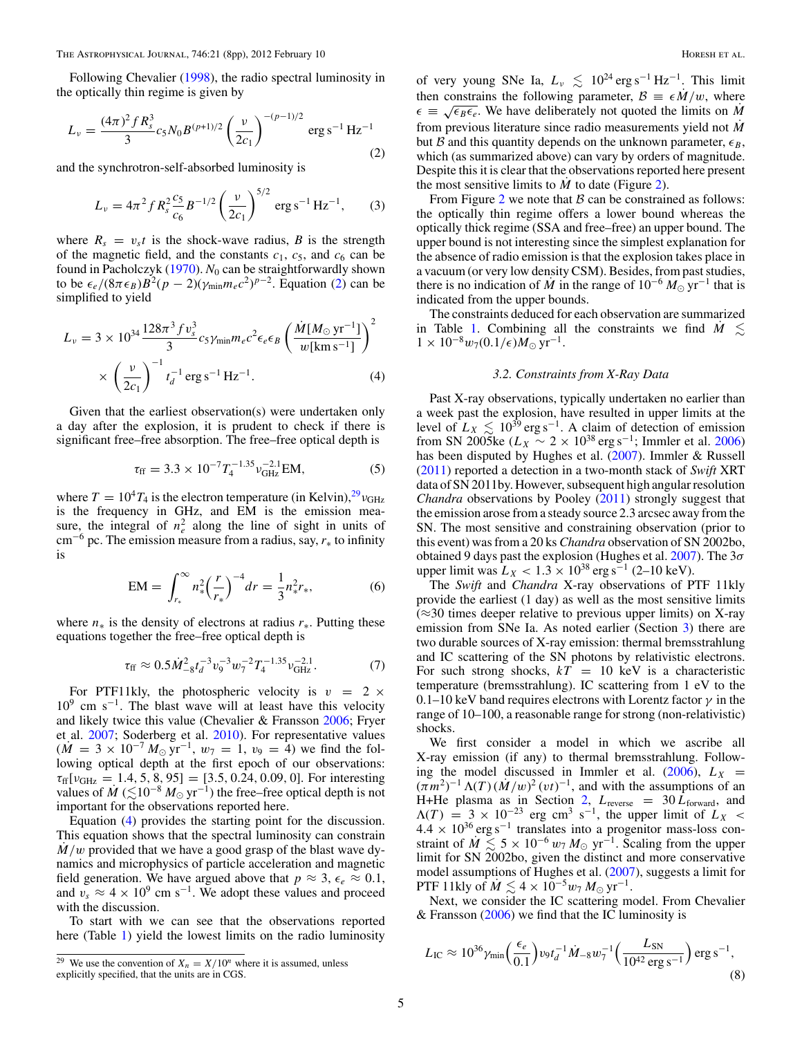<span id="page-4-0"></span>Following Chevalier [\(1998\)](#page-6-0), the radio spectral luminosity in the optically thin regime is given by

$$
L_{\nu} = \frac{(4\pi)^2 f R_s^3}{3} c_5 N_0 B^{(p+1)/2} \left(\frac{\nu}{2c_1}\right)^{-(p-1)/2} \text{erg s}^{-1} \text{Hz}^{-1}
$$
(2)

and the synchrotron-self-absorbed luminosity is

$$
L_{\nu} = 4\pi^2 f R_s^2 \frac{c_5}{c_6} B^{-1/2} \left(\frac{\nu}{2c_1}\right)^{5/2} \text{ erg s}^{-1} \text{ Hz}^{-1}, \qquad (3)
$$

where  $R_s = v_s t$  is the shock-wave radius, *B* is the strength of the magnetic field, and the constants  $c_1$ ,  $c_5$ , and  $c_6$  can be found in Pacholczyk [\(1970\)](#page-7-0). *N*<sub>0</sub> can be straightforwardly shown to be  $\epsilon_e/(8\pi\epsilon_B)B^2(p-2)(\gamma_{\text{min}}m_ec^2)^{p-2}$ . Equation (2) can be simplified to yield

$$
L_{\nu} = 3 \times 10^{34} \frac{128\pi^3 f v_s^3}{3} c_5 \gamma_{\min} m_e c^2 \epsilon_e \epsilon_B \left(\frac{\dot{M} [M_{\odot} \text{ yr}^{-1}]}{w [\text{km s}^{-1}]} \right)^2
$$
  
 
$$
\times \left(\frac{\nu}{2c_1}\right)^{-1} t_d^{-1} \text{ erg s}^{-1} \text{ Hz}^{-1}.
$$
 (4)

Given that the earliest observation(s) were undertaken only a day after the explosion, it is prudent to check if there is significant free–free absorption. The free–free optical depth is

$$
\tau_{\rm ff} = 3.3 \times 10^{-7} T_4^{-1.35} v_{\rm GHz}^{-2.1} \text{EM},\tag{5}
$$

where  $T = 10^4 T_4$  is the electron temperature (in Kelvin), <sup>29</sup><sup>*v*GHz</sub></sup> is the frequency in GHz, and EM is the emission measure, the integral of  $n_e^2$  along the line of sight in units of cm−<sup>6</sup> pc. The emission measure from a radius, say, *<sup>r</sup>*<sup>∗</sup> to infinity is

$$
EM = \int_{r_*}^{\infty} n_*^2 \left(\frac{r}{r_*}\right)^{-4} dr = \frac{1}{3} n_*^2 r_*,\tag{6}
$$

where *n*<sup>∗</sup> is the density of electrons at radius *r*∗. Putting these equations together the free–free optical depth is

$$
\tau_{\rm ff} \approx 0.5 \dot{M}_{-8}^2 t_d^{-3} v_9^{-3} w_7^{-2} T_4^{-1.35} v_{\rm GHz}^{-2.1}.
$$
 (7)

For PTF11kly, the photospheric velocity is  $v = 2 \times$  $10<sup>9</sup>$  cm s<sup>-1</sup>. The blast wave will at least have this velocity and likely twice this value (Chevalier & Fransson [2006;](#page-7-0) Fryer et al. [2007;](#page-7-0) Soderberg et al. [2010\)](#page-7-0). For representative values  $(M = 3 \times 10^{-7} M_{\odot} \text{ yr}^{-1}, w_7 = 1, v_9 = 4)$  we find the following optical depth at the first epoch of our observations: *τ*ff[*ν*GHz = 1*.*4*,* 5*,* 8*,* 95] = [3*.*5*,* 0*.*24*,* 0*.*09*,* 0]. For interesting values of  $M \leq 10^{-8} M_{\odot} \text{ yr}^{-1}$ ) the free–free optical depth is not important for the observations reported here.

Equation (4) provides the starting point for the discussion. This equation shows that the spectral luminosity can constrain  $M/w$  provided that we have a good grasp of the blast wave dynamics and microphysics of particle acceleration and magnetic field generation. We have argued above that  $p \approx 3$ ,  $\epsilon_e \approx 0.1$ , and  $v_s \approx 4 \times 10^9$  cm s<sup>-1</sup>. We adopt these values and proceed with the discussion.

To start with we can see that the observations reported here (Table [1\)](#page-1-0) yield the lowest limits on the radio luminosity

of very young SNe Ia,  $L_v \leq 10^{24} \text{ erg s}^{-1} \text{ Hz}^{-1}$ . This limit then constrains the following parameter,  $B = \epsilon M/w$ , where  $\epsilon \equiv \sqrt{\epsilon_B \epsilon_e}$ . We have deliberately not quoted the limits on *M* from previous literature since radio measurements yield not *M*˙ but B and this quantity depends on the unknown parameter,  $\epsilon_B$ , which (as summarized above) can vary by orders of magnitude. Despite this it is clear that the observations reported here present the most sensitive limits to  $\dot{M}$  to date (Figure [2\)](#page-5-0).

From Figure [2](#page-5-0) we note that  $\beta$  can be constrained as follows: the optically thin regime offers a lower bound whereas the optically thick regime (SSA and free–free) an upper bound. The upper bound is not interesting since the simplest explanation for the absence of radio emission is that the explosion takes place in a vacuum (or very low density CSM). Besides, from past studies, there is no indication of *M* in the range of  $10^{-6} M_{\odot}$  yr<sup>-1</sup> that is indicated from the upper bounds.

The constraints deduced for each observation are summarized in Table [1.](#page-1-0) Combining all the constraints we find  $M \leq$  $1 \times 10^{-8} w_7(0.1/\epsilon) M_{\odot} \text{ yr}^{-1}.$ 

## *3.2. Constraints from X-Ray Data*

Past X-ray observations, typically undertaken no earlier than a week past the explosion, have resulted in upper limits at the level of  $L_X \lesssim 10^{39}$  erg s<sup>-1</sup>. A claim of detection of emission from SN 2005ke ( $L_X \sim 2 \times 10^{38} \text{ erg s}^{-1}$ ; Immler et al. [2006\)](#page-7-0) has been disputed by Hughes et al. [\(2007\)](#page-7-0). Immler & Russell [\(2011\)](#page-7-0) reported a detection in a two-month stack of *Swift* XRT data of SN 2011by. However, subsequent high angular resolution *Chandra* observations by Pooley [\(2011\)](#page-7-0) strongly suggest that the emission arose from a steady source 2.3 arcsec away from the SN. The most sensitive and constraining observation (prior to this event) was from a 20 ks *Chandra* observation of SN 2002bo, obtained 9 days past the explosion (Hughes et al. [2007\)](#page-7-0). The 3*σ* upper limit was  $L_X$  < 1.3 × 10<sup>38</sup> erg s<sup>-1</sup> (2–10 keV).

The *Swift* and *Chandra* X-ray observations of PTF 11kly provide the earliest (1 day) as well as the most sensitive limits  $(\approx 30$  times deeper relative to previous upper limits) on X-ray emission from SNe Ia. As noted earlier (Section [3\)](#page-3-0) there are two durable sources of X-ray emission: thermal bremsstrahlung and IC scattering of the SN photons by relativistic electrons. For such strong shocks,  $kT = 10 \text{ keV}$  is a characteristic temperature (bremsstrahlung). IC scattering from 1 eV to the 0.1–10 keV band requires electrons with Lorentz factor *γ* in the range of 10–100, a reasonable range for strong (non-relativistic) shocks.

We first consider a model in which we ascribe all X-ray emission (if any) to thermal bremsstrahlung. Following the model discussed in Immler et al.  $(2006)$ ,  $L_X =$  $(\pi m^2)^{-1} \Lambda(T) (\dot{M}/w)^2 (vt)^{-1}$ , and with the assumptions of an H+He plasma as in Section [2,](#page-1-0)  $L_{\text{reverse}} = 30 L_{\text{forward}}$ , and  $\Lambda(T) = 3 \times 10^{-23}$  erg cm<sup>3</sup> s<sup>-1</sup>, the upper limit of  $L_X <$  $4.4 \times 10^{36} \text{ erg s}^{-1}$  translates into a progenitor mass-loss constraint of  $\dot{M} \leq 5 \times 10^{-6} w_7 M_{\odot}$  yr<sup>-1</sup>. Scaling from the upper limit for SN 2002bo, given the distinct and more conservative model assumptions of Hughes et al. [\(2007\)](#page-7-0), suggests a limit for PTF 11kly of  $M \lesssim 4 \times 10^{-5} w_7 M_{\odot} \text{ yr}^{-1}$ .

Next, we consider the IC scattering model. From Chevalier & Fransson  $(2006)$  we find that the IC luminosity is

$$
L_{\rm IC} \approx 10^{36} \gamma_{\rm min} \left(\frac{\epsilon_e}{0.1}\right) v_9 t_d^{-1} \dot{M}_{-8} w_7^{-1} \left(\frac{L_{\rm SN}}{10^{42} \,\rm erg \,s^{-1}}\right) \rm erg \,s^{-1},\tag{8}
$$

<sup>&</sup>lt;sup>29</sup> We use the convention of  $X_n = X/10^n$  where it is assumed, unless explicitly specified, that the units are in CGS.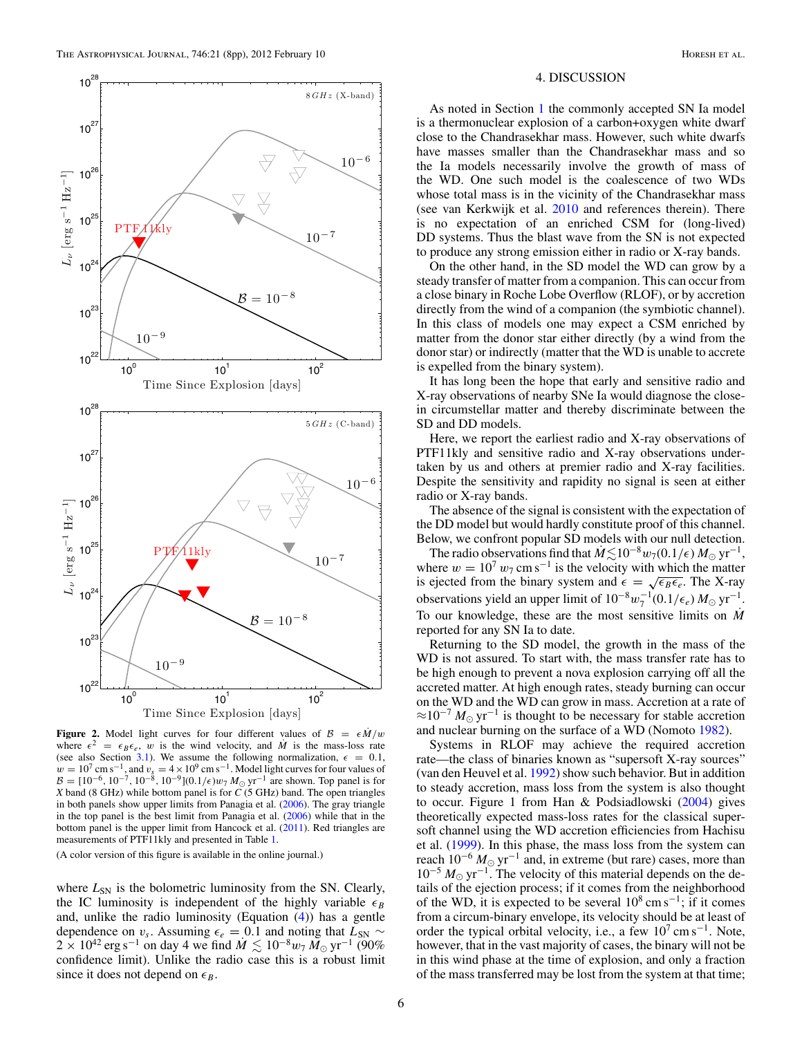<span id="page-5-0"></span>

**Figure 2.** Model light curves for four different values of  $B = \epsilon \dot{M}/w$ where  $\epsilon^2 = \epsilon_B \epsilon_e$ , *w* is the wind velocity, and *M* is the mass-loss rate (see also Section [3.1\)](#page-3-0). We assume the following normalization,  $\epsilon = 0.1$ ,  $w = 10^7 \text{ cm s}^{-1}$ , and  $v_s = 4 \times 10^9 \text{ cm s}^{-1}$ . Model light curves for four values of  $B = [10^{-6}, 10^{-7}, 10^{-8}, 10^{-9}] (0.1/\epsilon) w_7 M_{\odot} \text{ yr}^{-1}$  are shown. Top panel is for *X* band (8 GHz) while bottom panel is for *C* (5 GHz) band. The open triangles in both panels show upper limits from Panagia et al. [\(2006\)](#page-7-0). The gray triangle in the top panel is the best limit from Panagia et al. [\(2006\)](#page-7-0) while that in the bottom panel is the upper limit from Hancock et al. [\(2011\)](#page-7-0). Red triangles are measurements of PTF11kly and presented in Table [1.](#page-1-0)

(A color version of this figure is available in the online journal.)

where  $L_{SN}$  is the bolometric luminosity from the SN. Clearly, the IC luminosity is independent of the highly variable  $\epsilon_B$ and, unlike the radio luminosity (Equation [\(4\)](#page-4-0)) has a gentle dependence on *v<sub>s</sub>*. Assuming  $\epsilon_e = 0.1$  and noting that  $L_{SN} \sim$  $2 \times 10^{42}$  erg s<sup>-1</sup> on day 4 we find  $\dot{M} \lesssim 10^{-8} w_7 M_{\odot} \text{ yr}^{-1}$  (90%) confidence limit). Unlike the radio case this is a robust limit since it does not depend on  $\epsilon_R$ .

#### 4. DISCUSSION

As noted in Section [1](#page-0-0) the commonly accepted SN Ia model is a thermonuclear explosion of a carbon+oxygen white dwarf close to the Chandrasekhar mass. However, such white dwarfs have masses smaller than the Chandrasekhar mass and so the Ia models necessarily involve the growth of mass of the WD. One such model is the coalescence of two WDs whose total mass is in the vicinity of the Chandrasekhar mass (see van Kerkwijk et al. [2010](#page-7-0) and references therein). There is no expectation of an enriched CSM for (long-lived) DD systems. Thus the blast wave from the SN is not expected to produce any strong emission either in radio or X-ray bands.

On the other hand, in the SD model the WD can grow by a steady transfer of matter from a companion. This can occur from a close binary in Roche Lobe Overflow (RLOF), or by accretion directly from the wind of a companion (the symbiotic channel). In this class of models one may expect a CSM enriched by matter from the donor star either directly (by a wind from the donor star) or indirectly (matter that the WD is unable to accrete is expelled from the binary system).

It has long been the hope that early and sensitive radio and X-ray observations of nearby SNe Ia would diagnose the closein circumstellar matter and thereby discriminate between the SD and DD models.

Here, we report the earliest radio and X-ray observations of PTF11kly and sensitive radio and X-ray observations undertaken by us and others at premier radio and X-ray facilities. Despite the sensitivity and rapidity no signal is seen at either radio or X-ray bands.

The absence of the signal is consistent with the expectation of the DD model but would hardly constitute proof of this channel. Below, we confront popular SD models with our null detection.

The radio observations find that  $M \lesssim 10^{-8} w_7(0.1/\epsilon) M_{\odot} \text{ yr}^{-1}$ , where  $w = 10^7 w_7 \text{ cm s}^{-1}$  is the velocity with which the matter is ejected from the binary system and  $\epsilon = \sqrt{\epsilon_B \epsilon_e}$ . The X-ray observations yield an upper limit of  $10^{-8} w_7^{-1} (0.1/\epsilon_e) M_{\odot} \text{ yr}^{-1}$ . To our knowledge, these are the most sensitive limits on  $\dot{M}$ reported for any SN Ia to date.

Returning to the SD model, the growth in the mass of the WD is not assured. To start with, the mass transfer rate has to be high enough to prevent a nova explosion carrying off all the accreted matter. At high enough rates, steady burning can occur on the WD and the WD can grow in mass. Accretion at a rate of  $\approx 10^{-7} M_{\odot} \text{ yr}^{-1}$  is thought to be necessary for stable accretion and nuclear burning on the surface of a WD (Nomoto [1982\)](#page-7-0).

Systems in RLOF may achieve the required accretion rate—the class of binaries known as "supersoft X-ray sources" (van den Heuvel et al. [1992\)](#page-7-0) show such behavior. But in addition to steady accretion, mass loss from the system is also thought to occur. Figure 1 from Han & Podsiadlowski [\(2004\)](#page-7-0) gives theoretically expected mass-loss rates for the classical supersoft channel using the WD accretion efficiencies from Hachisu et al. [\(1999\)](#page-7-0). In this phase, the mass loss from the system can reach  $10^{-6} M_{\odot}$  yr<sup>-1</sup> and, in extreme (but rare) cases, more than 10<sup>-5</sup>  $M_{\odot}$  yr<sup>-1</sup>. The velocity of this material depends on the details of the ejection process; if it comes from the neighborhood of the WD, it is expected to be several  $10^8 \text{ cm s}^{-1}$ ; if it comes from a circum-binary envelope, its velocity should be at least of order the typical orbital velocity, i.e., a few  $10^7 \text{ cm s}^{-1}$ . Note, however, that in the vast majority of cases, the binary will not be in this wind phase at the time of explosion, and only a fraction of the mass transferred may be lost from the system at that time;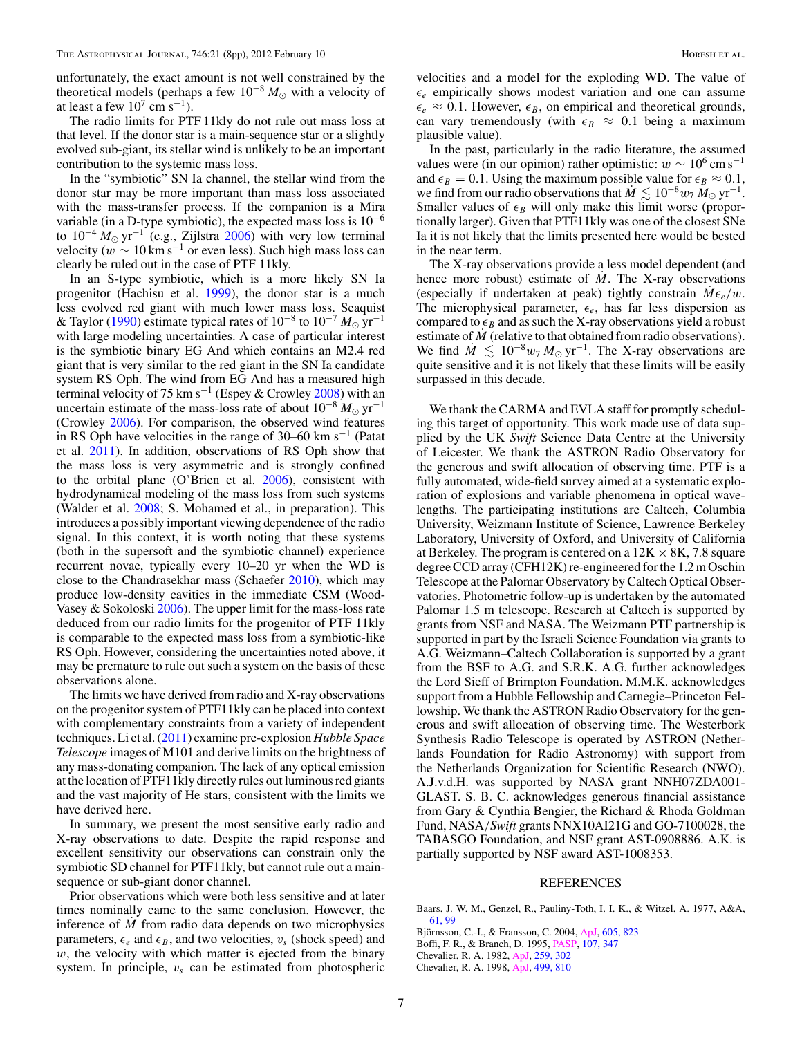<span id="page-6-0"></span>unfortunately, the exact amount is not well constrained by the theoretical models (perhaps a few  $10^{-8} M_{\odot}$  with a velocity of at least a few  $10^7$  cm s<sup>-1</sup>).

The radio limits for PTF 11kly do not rule out mass loss at that level. If the donor star is a main-sequence star or a slightly evolved sub-giant, its stellar wind is unlikely to be an important contribution to the systemic mass loss.

In the "symbiotic" SN Ia channel, the stellar wind from the donor star may be more important than mass loss associated with the mass-transfer process. If the companion is a Mira variable (in a D-type symbiotic), the expected mass loss is  $10^{-6}$ to  $10^{-4} M_{\odot} \text{ yr}^{-1}$  (e.g., Zijlstra [2006\)](#page-7-0) with very low terminal velocity ( $w \sim 10 \,\mathrm{km \, s^{-1}}$  or even less). Such high mass loss can clearly be ruled out in the case of PTF 11kly.

In an S-type symbiotic, which is a more likely SN Ia progenitor (Hachisu et al. [1999\)](#page-7-0), the donor star is a much less evolved red giant with much lower mass loss. Seaquist & Taylor [\(1990\)](#page-7-0) estimate typical rates of 10−<sup>8</sup> to 10−<sup>7</sup> *<sup>M</sup>* yr−<sup>1</sup> with large modeling uncertainties. A case of particular interest is the symbiotic binary EG And which contains an M2.4 red giant that is very similar to the red giant in the SN Ia candidate system RS Oph. The wind from EG And has a measured high terminal velocity of 75 km s−<sup>1</sup> (Espey & Crowley [2008\)](#page-7-0) with an uncertain estimate of the mass-loss rate of about  $10^{-8} M_{\odot}$  yr<sup>-1</sup> (Crowley [2006\)](#page-7-0). For comparison, the observed wind features in RS Oph have velocities in the range of 30–60 km s<sup>-1</sup> (Patat et al. [2011\)](#page-7-0). In addition, observations of RS Oph show that the mass loss is very asymmetric and is strongly confined to the orbital plane (O'Brien et al. [2006\)](#page-7-0), consistent with hydrodynamical modeling of the mass loss from such systems (Walder et al. [2008;](#page-7-0) S. Mohamed et al., in preparation). This introduces a possibly important viewing dependence of the radio signal. In this context, it is worth noting that these systems (both in the supersoft and the symbiotic channel) experience recurrent novae, typically every 10–20 yr when the WD is close to the Chandrasekhar mass (Schaefer [2010\)](#page-7-0), which may produce low-density cavities in the immediate CSM (Wood-Vasey & Sokoloski [2006\)](#page-7-0). The upper limit for the mass-loss rate deduced from our radio limits for the progenitor of PTF 11kly is comparable to the expected mass loss from a symbiotic-like RS Oph. However, considering the uncertainties noted above, it may be premature to rule out such a system on the basis of these observations alone.

The limits we have derived from radio and X-ray observations on the progenitor system of PTF11kly can be placed into context with complementary constraints from a variety of independent techniques. Li et al. [\(2011\)](#page-7-0) examine pre-explosion *Hubble Space Telescope* images of M101 and derive limits on the brightness of any mass-donating companion. The lack of any optical emission at the location of PTF11kly directly rules out luminous red giants and the vast majority of He stars, consistent with the limits we have derived here.

In summary, we present the most sensitive early radio and X-ray observations to date. Despite the rapid response and excellent sensitivity our observations can constrain only the symbiotic SD channel for PTF11kly, but cannot rule out a mainsequence or sub-giant donor channel.

Prior observations which were both less sensitive and at later times nominally came to the same conclusion. However, the inference of *M*˙ from radio data depends on two microphysics parameters,  $\epsilon_e$  and  $\epsilon_B$ , and two velocities,  $v_s$  (shock speed) and *w*, the velocity with which matter is ejected from the binary system. In principle,  $v_s$  can be estimated from photospheric

velocities and a model for the exploding WD. The value of  $\epsilon_e$  empirically shows modest variation and one can assume  $\epsilon_e \approx 0.1$ . However,  $\epsilon_B$ , on empirical and theoretical grounds, can vary tremendously (with  $\epsilon_B \approx 0.1$  being a maximum plausible value).

In the past, particularly in the radio literature, the assumed values were (in our opinion) rather optimistic:  $w \sim 10^6 \text{ cm s}^{-1}$ and  $\epsilon_B = 0.1$ . Using the maximum possible value for  $\epsilon_B \approx 0.1$ , we find from our radio observations that  $M \lesssim 10^{-8} w_7 M_{\odot} \text{ yr}^{-1}$ . Smaller values of  $\epsilon_B$  will only make this limit worse (proportionally larger). Given that PTF11kly was one of the closest SNe Ia it is not likely that the limits presented here would be bested in the near term.

The X-ray observations provide a less model dependent (and hence more robust) estimate of *M*. The X-ray observations (especially if undertaken at peak) tightly constrain  $M\epsilon_e/w$ . The microphysical parameter,  $\epsilon_e$ , has far less dispersion as compared to  $\epsilon_B$  and as such the X-ray observations yield a robust estimate of *M* (relative to that obtained from radio observations). We find  $\dot{M} \leq 10^{-8} w_7 M_{\odot} \text{ yr}^{-1}$ . The X-ray observations are quite sensitive and it is not likely that these limits will be easily surpassed in this decade.

We thank the CARMA and EVLA staff for promptly scheduling this target of opportunity. This work made use of data supplied by the UK *Swift* Science Data Centre at the University of Leicester. We thank the ASTRON Radio Observatory for the generous and swift allocation of observing time. PTF is a fully automated, wide-field survey aimed at a systematic exploration of explosions and variable phenomena in optical wavelengths. The participating institutions are Caltech, Columbia University, Weizmann Institute of Science, Lawrence Berkeley Laboratory, University of Oxford, and University of California at Berkeley. The program is centered on a  $12K \times 8K$ , 7.8 square degree CCD array (CFH12K) re-engineered for the 1.2 m Oschin Telescope at the Palomar Observatory by Caltech Optical Observatories. Photometric follow-up is undertaken by the automated Palomar 1.5 m telescope. Research at Caltech is supported by grants from NSF and NASA. The Weizmann PTF partnership is supported in part by the Israeli Science Foundation via grants to A.G. Weizmann–Caltech Collaboration is supported by a grant from the BSF to A.G. and S.R.K. A.G. further acknowledges the Lord Sieff of Brimpton Foundation. M.M.K. acknowledges support from a Hubble Fellowship and Carnegie–Princeton Fellowship. We thank the ASTRON Radio Observatory for the generous and swift allocation of observing time. The Westerbork Synthesis Radio Telescope is operated by ASTRON (Netherlands Foundation for Radio Astronomy) with support from the Netherlands Organization for Scientific Research (NWO). A.J.v.d.H. was supported by NASA grant NNH07ZDA001- GLAST. S. B. C. acknowledges generous financial assistance from Gary & Cynthia Bengier, the Richard & Rhoda Goldman Fund, NASA*/Swift* grants NNX10AI21G and GO-7100028, the TABASGO Foundation, and NSF grant AST-0908886. A.K. is partially supported by NSF award AST-1008353.

#### REFERENCES

- Baars, J. W. M., Genzel, R., Pauliny-Toth, I. I. K., & Witzel, A. 1977, A&A, [61, 99](http://adsabs.harvard.edu/abs/1977A&A....61...99B)
- Björnsson, C.-I., & Fransson, C. 2004, [ApJ,](http://dx.doi.org/10.1086/382584) [605, 823](http://adsabs.harvard.edu/abs/2004ApJ...605..823B)
- Boffi, F. R., & Branch, D. 1995, [PASP,](http://dx.doi.org/10.1086/133558) [107, 347](http://adsabs.harvard.edu/abs/1995PASP..107..347B)

Chevalier, R. A. 1998, [ApJ,](http://dx.doi.org/10.1086/305676) [499, 810](http://adsabs.harvard.edu/abs/1998ApJ...499..810C)

Chevalier, R. A. 1982, [ApJ,](http://dx.doi.org/10.1086/160167) [259, 302](http://adsabs.harvard.edu/abs/1982ApJ...259..302C)